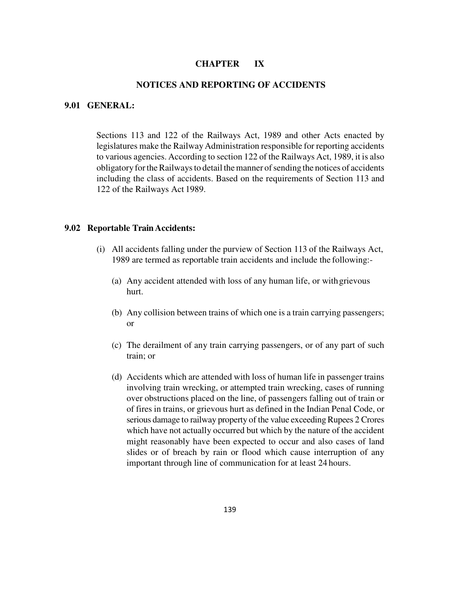#### **CHAPTER IX**

#### **NOTICES AND REPORTING OF ACCIDENTS**

#### **9.01 GENERAL:**

Sections 113 and 122 of the Railways Act, 1989 and other Acts enacted by legislatures make the Railway Administration responsible for reporting accidents to various agencies. According to section 122 of the Railways Act, 1989, it is also obligatory for the Railways to detail the manner of sending the notices of accidents including the class of accidents. Based on the requirements of Section 113 and 122 of the Railways Act 1989.

#### **9.02 Reportable Train Accidents:**

- (i) All accidents falling under the purview of Section 113 of the Railways Act, 1989 are termed as reportable train accidents and include the following:-
	- (a) Any accident attended with loss of any human life, or with grievous hurt.
	- (b) Any collision between trains of which one is a train carrying passengers; or
	- (c) The derailment of any train carrying passengers, or of any part of such train; or
	- (d) Accidents which are attended with loss of human life in passenger trains involving train wrecking, or attempted train wrecking, cases of running over obstructions placed on the line, of passengers falling out of train or of fires in trains, or grievous hurt as defined in the Indian Penal Code, or serious damage to railway property of the value exceeding Rupees 2 Crores which have not actually occurred but which by the nature of the accident might reasonably have been expected to occur and also cases of land slides or of breach by rain or flood which cause interruption of any important through line of communication for at least 24 hours.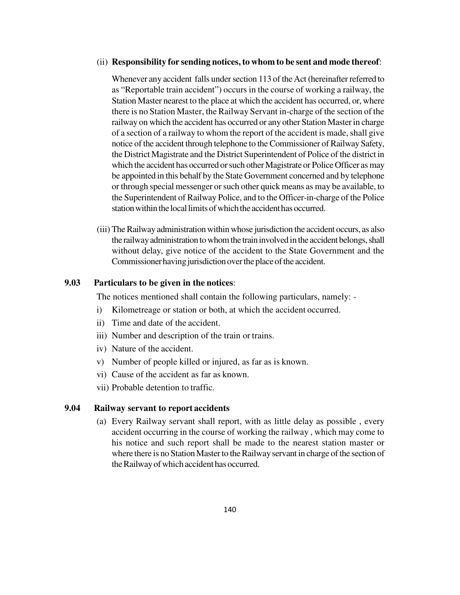#### (ii) **Responsibility for sending notices, to whom to be sent and mode thereof**:

Whenever any accident falls under section 113 of the Act (hereinafter referred to as "Reportable train accident") occurs in the course of working a railway, the Station Master nearest to the place at which the accident has occurred, or, where there is no Station Master, the Railway Servant in-charge of the section of the railway on which the accident has occurred or any other Station Master in charge of a section of a railway to whom the report of the accident is made, shall give notice of the accident through telephone to the Commissioner of Railway Safety, the District Magistrate and the District Superintendent of Police of the district in which the accident has occurred or such other Magistrate or Police Officer as may be appointed in this behalf by the State Government concerned and by telephone or through special messenger or such other quick means as may be available, to the Superintendent of Railway Police, and to the Officer-in-charge of the Police station within the local limits of which the accident has occurred.

(iii) The Railway administration within whose jurisdiction the accident occurs, as also the railway administration to whom the train involved in the accident belongs, shall without delay, give notice of the accident to the State Government and the Commissioner having jurisdiction over the place of the accident.

#### **9.03 Particulars to be given in the notices**:

The notices mentioned shall contain the following particulars, namely: -

- i) Kilometreage or station or both, at which the accident occurred.
- ii) Time and date of the accident.
- iii) Number and description of the train or trains.
- iv) Nature of the accident.
- v) Number of people killed or injured, as far as is known.
- vi) Cause of the accident as far as known.
- vii) Probable detention to traffic.

#### **9.04 Railway servant to report accidents**

(a) Every Railway servant shall report, with as little delay as possible , every accident occurring in the course of working the railway , which may come to his notice and such report shall be made to the nearest station master or where there is no Station Master to the Railway servant in charge of the section of the Railway of which accident has occurred.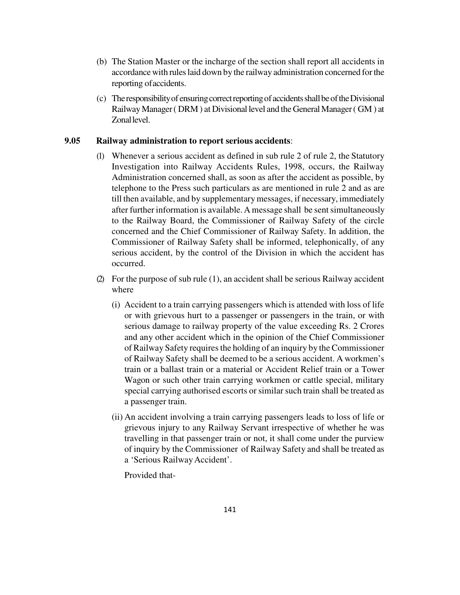- (b) The Station Master or the incharge of the section shall report all accidents in accordance with rules laid down by the railway administration concerned for the reporting of accidents.
- (c) The responsibility of ensuring correct reporting of accidents shall be of the Divisional Railway Manager ( DRM ) at Divisional level and the General Manager ( GM ) at Zonal level.

### **9.05 Railway administration to report serious accidents**:

- (1) Whenever a serious accident as defined in sub rule 2 of rule 2, the Statutory Investigation into Railway Accidents Rules, 1998, occurs, the Railway Administration concerned shall, as soon as after the accident as possible, by telephone to the Press such particulars as are mentioned in rule 2 and as are till then available, and by supplementary messages, if necessary, immediately after further information is available. A message shall be sent simultaneously to the Railway Board, the Commissioner of Railway Safety of the circle concerned and the Chief Commissioner of Railway Safety. In addition, the Commissioner of Railway Safety shall be informed, telephonically, of any serious accident, by the control of the Division in which the accident has occurred.
- (2) For the purpose of sub rule (1), an accident shall be serious Railway accident where
	- (i) Accident to a train carrying passengers which is attended with loss of life or with grievous hurt to a passenger or passengers in the train, or with serious damage to railway property of the value exceeding Rs. 2 Crores and any other accident which in the opinion of the Chief Commissioner of Railway Safety requires the holding of an inquiry by the Commissioner of Railway Safety shall be deemed to be a serious accident. A workmen's train or a ballast train or a material or Accident Relief train or a Tower Wagon or such other train carrying workmen or cattle special, military special carrying authorised escorts or similar such train shall be treated as a passenger train.
	- (ii) An accident involving a train carrying passengers leads to loss of life or grievous injury to any Railway Servant irrespective of whether he was travelling in that passenger train or not, it shall come under the purview of inquiry by the Commissioner of Railway Safety and shall be treated as a 'Serious Railway Accident'.

Provided that-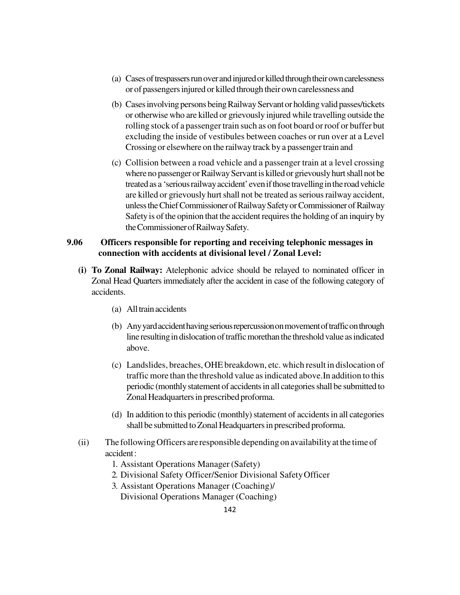- (a) Cases of trespassers run over and injured or killed through their own carelessness or of passengers injured or killed through their own carelessness and
- (b) Cases involving persons being Railway Servant or holding valid passes/tickets or otherwise who are killed or grievously injured while travelling outside the rolling stock of a passenger train such as on foot board or roof or buffer but excluding the inside of vestibules between coaches or run over at a Level Crossing or elsewhere on the railway track by a passenger train and
- (c) Collision between a road vehicle and a passenger train at a level crossing where no passenger or Railway Servant is killed or grievously hurt shall not be treated as a 'serious railway accident' even if those travelling in the road vehicle are killed or grievously hurt shall not be treated as serious railway accident, unless the Chief Commissioner of Railway Safety or Commissioner of Railway Safety is of the opinion that the accident requires the holding of an inquiry by the Commissioner of Railway Safety.

### **9.06 Officers responsible for reporting and receiving telephonic messages in connection with accidents at divisional level / Zonal Level:**

- **(i) To Zonal Railway:** Atelephonic advice should be relayed to nominated officer in Zonal Head Quarters immediately after the accident in case of the following category of accidents.
	- (a) All train accidents
	- (b) Any yard accident having serious repercussion on movement of traffic on through line resulting in dislocation of traffic morethan the threshold value as indicated above.
	- (c) Landslides, breaches, OHE breakdown, etc. which result in dislocation of traffic more than the threshold value as indicated above.In addition to this periodic (monthly statement of accidents in all categories shall be submitted to Zonal Headquarters in prescribed proforma.
	- (d) In addition to this periodic (monthly) statement of accidents in all categories shall be submitted to Zonal Headquarters in prescribed proforma.
- (ii) The following Officers are responsible depending on availability at the time of accident :
	- 1. Assistant Operations Manager (Safety)
	- 2. Divisional Safety Officer/Senior Divisional Safety Officer
	- 3. Assistant Operations Manager (Coaching)/ Divisional Operations Manager (Coaching)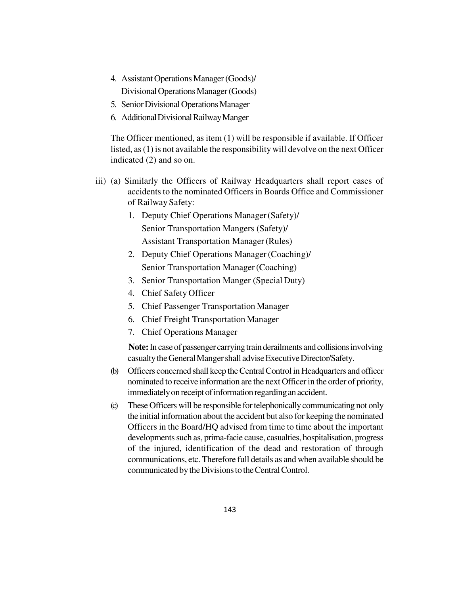- 4. Assistant Operations Manager (Goods)/ Divisional Operations Manager (Goods)
- 5. Senior Divisional Operations Manager
- 6. Additional Divisional Railway Manger

The Officer mentioned, as item (1) will be responsible if available. If Officer listed, as (1) is not available the responsibility will devolve on the next Officer indicated (2) and so on.

- iii) (a) Similarly the Officers of Railway Headquarters shall report cases of accidents to the nominated Officers in Boards Office and Commissioner of Railway Safety:
	- 1. Deputy Chief Operations Manager (Safety)/ Senior Transportation Mangers (Safety)/ Assistant Transportation Manager (Rules)
	- 2. Deputy Chief Operations Manager (Coaching)/ Senior Transportation Manager (Coaching)
	- 3. Senior Transportation Manger (Special Duty)
	- 4. Chief Safety Officer
	- 5. Chief Passenger Transportation Manager
	- 6. Chief Freight Transportation Manager
	- 7. Chief Operations Manager

**Note:** In case of passenger carrying train derailments and collisions involving casualty the General Manger shall advise Executive Director/Safety.

- (b) Officers concerned shall keep the Central Control in Headquarters and officer nominated to receive information are the next Officer in the order of priority, immediately on receipt of information regarding an accident.
- (c) These Officers will be responsible for telephonically communicating not only the initial information about the accident but also for keeping the nominated Officers in the Board/HQ advised from time to time about the important developments such as, prima-facie cause, casualties, hospitalisation, progress of the injured, identification of the dead and restoration of through communications, etc. Therefore full details as and when available should be communicated by the Divisions to the Central Control.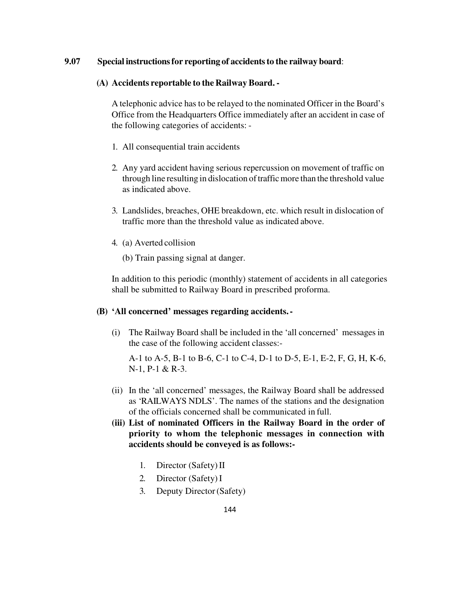### **9.07 Special instructions for reporting of accidents to the railway board**:

#### **(A) Accidents reportable to the Railway Board. -**

A telephonic advice has to be relayed to the nominated Officer in the Board's Office from the Headquarters Office immediately after an accident in case of the following categories of accidents: -

- 1. All consequential train accidents
- 2. Any yard accident having serious repercussion on movement of traffic on through line resulting in dislocation of traffic more than the threshold value as indicated above.
- 3. Landslides, breaches, OHE breakdown, etc. which result in dislocation of traffic more than the threshold value as indicated above.
- 4. (a) Averted collision
	- (b) Train passing signal at danger.

In addition to this periodic (monthly) statement of accidents in all categories shall be submitted to Railway Board in prescribed proforma.

#### **(B) 'All concerned' messages regarding accidents. -**

(i) The Railway Board shall be included in the 'all concerned' messages in the case of the following accident classes:-

A-1 to A-5, B-1 to B-6, C-1 to C-4, D-1 to D-5, E-1, E-2, F, G, H, K-6, N-1, P-1 & R-3.

- (ii) In the 'all concerned' messages, the Railway Board shall be addressed as 'RAILWAYS NDLS'. The names of the stations and the designation of the officials concerned shall be communicated in full.
- **(iii) List of nominated Officers in the Railway Board in the order of priority to whom the telephonic messages in connection with accidents should be conveyed is as follows:-** 
	- 1. Director (Safety) II
	- 2. Director (Safety) I
	- 3. Deputy Director (Safety)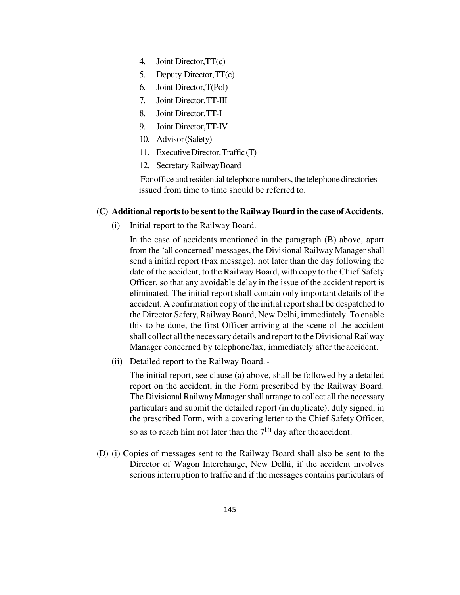- 4. Joint Director, TT(c)
- 5. Deputy Director, TT(c)
- 6. Joint Director, T(Pol)
- 7. Joint Director, TT-III
- 8. Joint Director, TT-I
- 9. Joint Director, TT-IV
- 10. Advisor (Safety)
- 11. Executive Director, Traffic (T)
- 12. Secretary Railway Board

For office and residential telephone numbers, the telephone directories issued from time to time should be referred to.

#### **(C) Additional reports to be sent to the Railway Board in the case of Accidents.**

(i) Initial report to the Railway Board. -

In the case of accidents mentioned in the paragraph (B) above, apart from the 'all concerned' messages, the Divisional Railway Manager shall send a initial report (Fax message), not later than the day following the date of the accident, to the Railway Board, with copy to the Chief Safety Officer, so that any avoidable delay in the issue of the accident report is eliminated. The initial report shall contain only important details of the accident. A confirmation copy of the initial report shall be despatched to the Director Safety, Railway Board, New Delhi, immediately. To enable this to be done, the first Officer arriving at the scene of the accident shall collect all the necessary details and report to the Divisional Railway Manager concerned by telephone/fax, immediately after the accident.

(ii) Detailed report to the Railway Board. -

The initial report, see clause (a) above, shall be followed by a detailed report on the accident, in the Form prescribed by the Railway Board. The Divisional Railway Manager shall arrange to collect all the necessary particulars and submit the detailed report (in duplicate), duly signed, in the prescribed Form, with a covering letter to the Chief Safety Officer, so as to reach him not later than the  $7<sup>th</sup>$  day after the accident.

(D) (i) Copies of messages sent to the Railway Board shall also be sent to the Director of Wagon Interchange, New Delhi, if the accident involves serious interruption to traffic and if the messages contains particulars of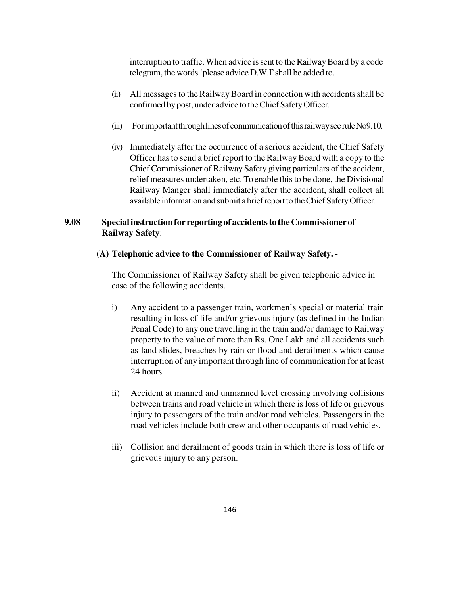interruption to traffic. When advice is sent to the Railway Board by a code telegram, the words 'please advice D.W.I' shall be added to.

- (ii) All messages to the Railway Board in connection with accidents shall be confirmed by post, under advice to the Chief Safety Officer.
- (iii) For important through lines of communication of this railway see rule No9.10.
- (iv) Immediately after the occurrence of a serious accident, the Chief Safety Officer has to send a brief report to the Railway Board with a copy to the Chief Commissioner of Railway Safety giving particulars of the accident, relief measures undertaken, etc. To enable this to be done, the Divisional Railway Manger shall immediately after the accident, shall collect all available information and submit a brief report to the Chief Safety Officer.

### **9.08 Special instruction for reporting of accidents to the Commissioner of Railway Safety**:

#### **(A) Telephonic advice to the Commissioner of Railway Safety. -**

The Commissioner of Railway Safety shall be given telephonic advice in case of the following accidents.

- i) Any accident to a passenger train, workmen's special or material train resulting in loss of life and/or grievous injury (as defined in the Indian Penal Code) to any one travelling in the train and/or damage to Railway property to the value of more than Rs. One Lakh and all accidents such as land slides, breaches by rain or flood and derailments which cause interruption of any important through line of communication for at least 24 hours.
- ii) Accident at manned and unmanned level crossing involving collisions between trains and road vehicle in which there is loss of life or grievous injury to passengers of the train and/or road vehicles. Passengers in the road vehicles include both crew and other occupants of road vehicles.
- iii) Collision and derailment of goods train in which there is loss of life or grievous injury to any person.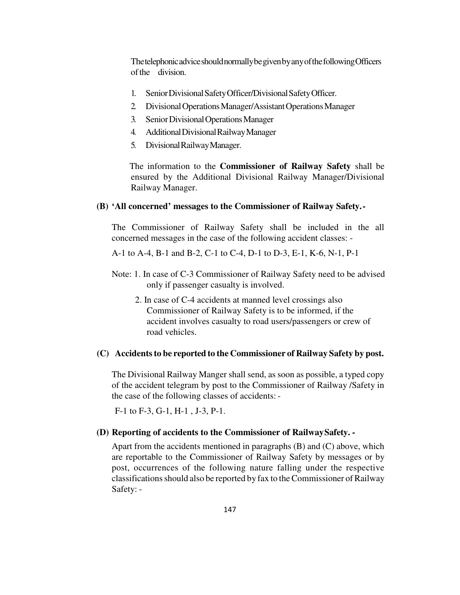The telephonic advice should normally be given by any of the following Officers of the division.

- 1. Senior Divisional Safety Officer/Divisional Safety Officer.
- 2. Divisional Operations Manager/Assistant Operations Manager
- 3. Senior Divisional Operations Manager
- 4. Additional Divisional Railway Manager
- 5. Divisional Railway Manager.

The information to the **Commissioner of Railway Safety** shall be ensured by the Additional Divisional Railway Manager/Divisional Railway Manager.

#### **(B) 'All concerned' messages to the Commissioner of Railway Safety. -**

The Commissioner of Railway Safety shall be included in the all concerned messages in the case of the following accident classes: -

A-1 to A-4, B-1 and B-2, C-1 to C-4, D-1 to D-3, E-1, K-6, N-1, P-1

- Note: 1. In case of C-3 Commissioner of Railway Safety need to be advised only if passenger casualty is involved.
	- 2. In case of C-4 accidents at manned level crossings also Commissioner of Railway Safety is to be informed, if the accident involves casualty to road users/passengers or crew of road vehicles.

#### **(C) Accidents to be reported to the Commissioner of Railway Safety by post.**

The Divisional Railway Manger shall send, as soon as possible, a typed copy of the accident telegram by post to the Commissioner of Railway /Safety in the case of the following classes of accidents: -

F-1 to F-3, G-1, H-1 , J-3, P-1.

#### **(D) Reporting of accidents to the Commissioner of Railway Safety. -**

Apart from the accidents mentioned in paragraphs (B) and (C) above, which are reportable to the Commissioner of Railway Safety by messages or by post, occurrences of the following nature falling under the respective classifications should also be reported by fax to the Commissioner of Railway Safety: -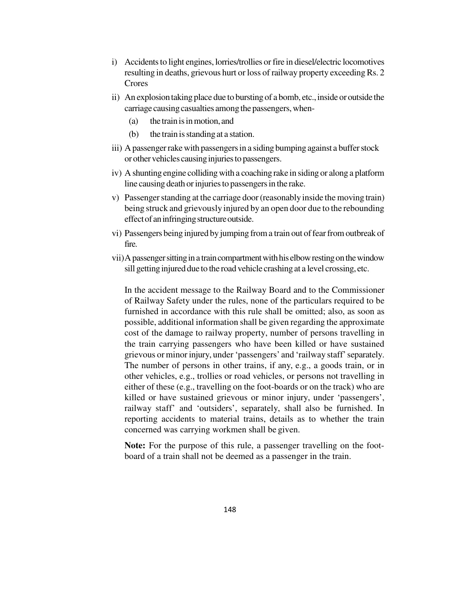- i) Accidents to light engines, lorries/trollies or fire in diesel/electric locomotives resulting in deaths, grievous hurt or loss of railway property exceeding Rs. 2 Crores
- ii) An explosion taking place due to bursting of a bomb, etc., inside or outside the carriage causing casualties among the passengers, when-
	- (a) the train is in motion, and
	- (b) the train is standing at a station.
- iii) A passenger rake with passengers in a siding bumping against a buffer stock or other vehicles causing injuries to passengers.
- iv) A shunting engine colliding with a coaching rake in siding or along a platform line causing death or injuries to passengers in the rake.
- v) Passenger standing at the carriage door (reasonably inside the moving train) being struck and grievously injured by an open door due to the rebounding effect of an infringing structure outside.
- vi) Passengers being injured by jumping from a train out of fear from outbreak of fire.
- vii)A passenger sitting in a train compartment with his elbow resting on the window sill getting injured due to the road vehicle crashing at a level crossing, etc.

In the accident message to the Railway Board and to the Commissioner of Railway Safety under the rules, none of the particulars required to be furnished in accordance with this rule shall be omitted; also, as soon as possible, additional information shall be given regarding the approximate cost of the damage to railway property, number of persons travelling in the train carrying passengers who have been killed or have sustained grievous or minor injury, under 'passengers' and 'railway staff' separately. The number of persons in other trains, if any, e.g., a goods train, or in other vehicles, e.g., trollies or road vehicles, or persons not travelling in either of these (e.g., travelling on the foot-boards or on the track) who are killed or have sustained grievous or minor injury, under 'passengers', railway staff' and 'outsiders', separately, shall also be furnished. In reporting accidents to material trains, details as to whether the train concerned was carrying workmen shall be given.

**Note:** For the purpose of this rule, a passenger travelling on the footboard of a train shall not be deemed as a passenger in the train.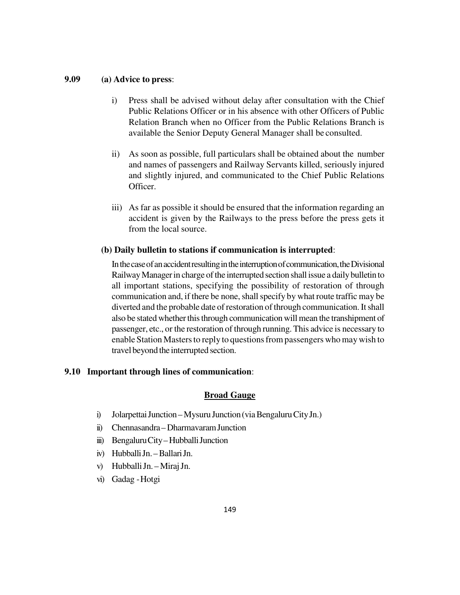#### **9.09 (a) Advice to press**:

- i) Press shall be advised without delay after consultation with the Chief Public Relations Officer or in his absence with other Officers of Public Relation Branch when no Officer from the Public Relations Branch is available the Senior Deputy General Manager shall be consulted.
- ii) As soon as possible, full particulars shall be obtained about the number and names of passengers and Railway Servants killed, seriously injured and slightly injured, and communicated to the Chief Public Relations Officer.
- iii) As far as possible it should be ensured that the information regarding an accident is given by the Railways to the press before the press gets it from the local source.

#### **(b) Daily bulletin to stations if communication is interrupted**:

In the case of an accident resulting in the interruption of communication, the Divisional Railway Manager in charge of the interrupted section shall issue a daily bulletin to all important stations, specifying the possibility of restoration of through communication and, if there be none, shall specify by what route traffic may be diverted and the probable date of restoration of through communication. It shall also be stated whether this through communication will mean the transhipment of passenger, etc., or the restoration of through running. This advice is necessary to enable Station Masters to reply to questions from passengers who may wish to travel beyond the interrupted section.

#### **9.10 Important through lines of communication**:

### **Broad Gauge**

- i) Jolarpettai Junction Mysuru Junction (via Bengaluru City Jn.)
- ii) Chennasandra Dharmavaram Junction
- iii) Bengaluru City Hubballi Junction
- iv) Hubballi Jn. Ballari Jn.
- v) Hubballi Jn. Miraj Jn.
- vi) Gadag Hotgi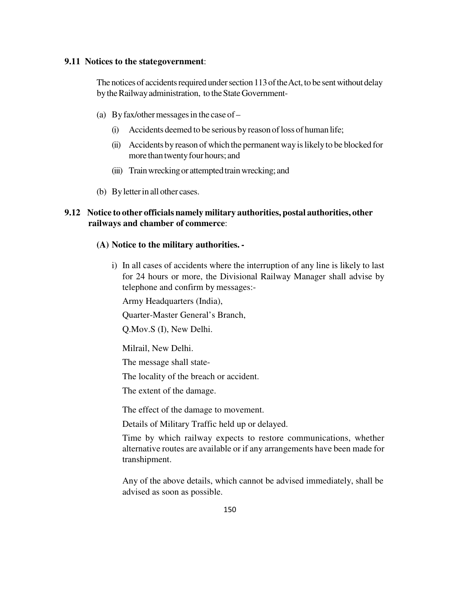#### **9.11 Notices to the state government**:

The notices of accidents required under section 113 of the Act, to be sent without delay by the Railway administration, to the State Government-

- (a) By fax/other messages in the case of
	- (i) Accidents deemed to be serious by reason of loss of human life;
	- (ii) Accidents by reason of which the permanent way is likely to be blocked for more than twenty four hours; and
	- (iii) Train wrecking or attempted train wrecking; and
- (b) By letter in all other cases.

### **9.12 Notice to other officials namely military authorities, postal authorities, other railways and chamber of commerce**:

#### **(A) Notice to the military authorities. -**

i) In all cases of accidents where the interruption of any line is likely to last for 24 hours or more, the Divisional Railway Manager shall advise by telephone and confirm by messages:-

Army Headquarters (India),

Quarter-Master General's Branch,

Q.Mov.S (I), New Delhi.

Milrail, New Delhi.

The message shall state-

The locality of the breach or accident.

The extent of the damage.

The effect of the damage to movement.

Details of Military Traffic held up or delayed.

Time by which railway expects to restore communications, whether alternative routes are available or if any arrangements have been made for transhipment.

Any of the above details, which cannot be advised immediately, shall be advised as soon as possible.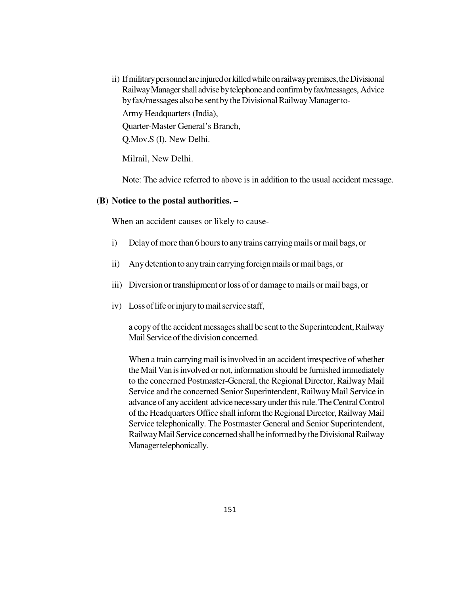ii) If military personnel are injured or killed while on railway premises, the Divisional Railway Manager shall advise by telephone and confirm by fax/messages, Advice by fax/messages also be sent by the Divisional Railway Manager to-

Army Headquarters (India), Quarter-Master General's Branch, Q.Mov.S (I), New Delhi.

Milrail, New Delhi.

Note: The advice referred to above is in addition to the usual accident message.

#### **(B) Notice to the postal authorities. –**

When an accident causes or likely to cause-

- i) Delay of more than 6 hours to any trains carrying mails or mail bags, or
- ii) Any detention to any train carrying foreign mails or mail bags, or
- iii) Diversion or transhipment or loss of or damage to mails or mail bags, or
- iv) Loss of life or injury to mail service staff,

a copy of the accident messages shall be sent to the Superintendent, Railway Mail Service of the division concerned.

When a train carrying mail is involved in an accident irrespective of whether the Mail Van is involved or not, information should be furnished immediately to the concerned Postmaster-General, the Regional Director, Railway Mail Service and the concerned Senior Superintendent, Railway Mail Service in advance of any accident advice necessary under this rule. The Central Control of the Headquarters Office shall inform the Regional Director, Railway Mail Service telephonically. The Postmaster General and Senior Superintendent, Railway Mail Service concerned shall be informed by the Divisional Railway Manager telephonically.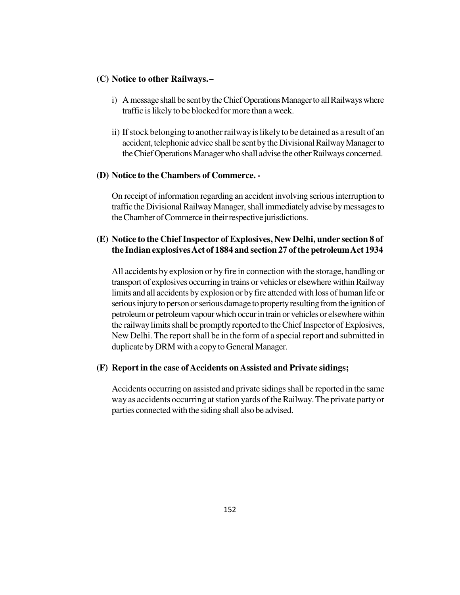#### **(C) Notice to other Railways. –**

- i) A message shall be sent by the Chief Operations Manager to all Railways where traffic is likely to be blocked for more than a week.
- ii) If stock belonging to another railway is likely to be detained as a result of an accident, telephonic advice shall be sent by the Divisional Railway Manager to the Chief Operations Manager who shall advise the other Railways concerned.

### **(D) Notice to the Chambers of Commerce. -**

On receipt of information regarding an accident involving serious interruption to traffic the Divisional Railway Manager, shall immediately advise by messages to the Chamber of Commerce in their respective jurisdictions.

### **(E) Notice to the Chief Inspector of Explosives, New Delhi, under section 8 of the Indian explosives Act of 1884 and section 27 of the petroleum Act 1934**

All accidents by explosion or by fire in connection with the storage, handling or transport of explosives occurring in trains or vehicles or elsewhere within Railway limits and all accidents by explosion or by fire attended with loss of human life or serious injury to person or serious damage to property resulting from the ignition of petroleum or petroleum vapour which occur in train or vehicles or elsewhere within the railway limits shall be promptly reported to the Chief Inspector of Explosives, New Delhi. The report shall be in the form of a special report and submitted in duplicate by DRM with a copy to General Manager.

### **(F) Report in the case of Accidents on Assisted and Private sidings;**

Accidents occurring on assisted and private sidings shall be reported in the same way as accidents occurring at station yards of the Railway. The private party or parties connected with the siding shall also be advised.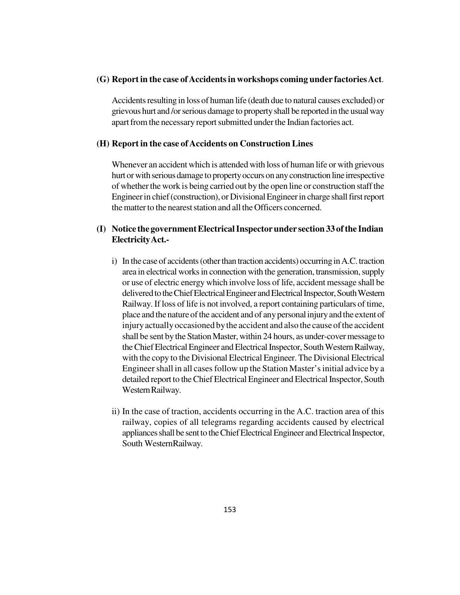#### **(G) Report in the case of Accidents in workshops coming under factories Act**.

Accidents resulting in loss of human life (death due to natural causes excluded) or grievous hurt and /or serious damage to property shall be reported in the usual way apart from the necessary report submitted under the Indian factories act.

#### **(H) Report in the case of Accidents on Construction Lines**

Whenever an accident which is attended with loss of human life or with grievous hurt or with serious damage to property occurs on any construction line irrespective of whether the work is being carried out by the open line or construction staff the Engineer in chief (construction), or Divisional Engineer in charge shall first report the matter to the nearest station and all the Officers concerned.

### **(I) Notice the government Electrical Inspector under section 33 of the Indian Electricity Act.-**

- i) In the case of accidents (other than traction accidents) occurring in A.C. traction area in electrical works in connection with the generation, transmission, supply or use of electric energy which involve loss of life, accident message shall be delivered to the Chief Electrical Engineer and Electrical Inspector, South Western Railway. If loss of life is not involved, a report containing particulars of time, place and the nature of the accident and of any personal injury and the extent of injury actually occasioned by the accident and also the cause of the accident shall be sent by the Station Master, within 24 hours, as under-cover message to the Chief Electrical Engineer and Electrical Inspector, South Western Railway, with the copy to the Divisional Electrical Engineer. The Divisional Electrical Engineer shall in all cases follow up the Station Master's initial advice by a detailed report to the Chief Electrical Engineer and Electrical Inspector, South Western Railway.
- ii) In the case of traction, accidents occurring in the A.C. traction area of this railway, copies of all telegrams regarding accidents caused by electrical appliances shall be sent to the Chief Electrical Engineer and Electrical Inspector, South Western Railway.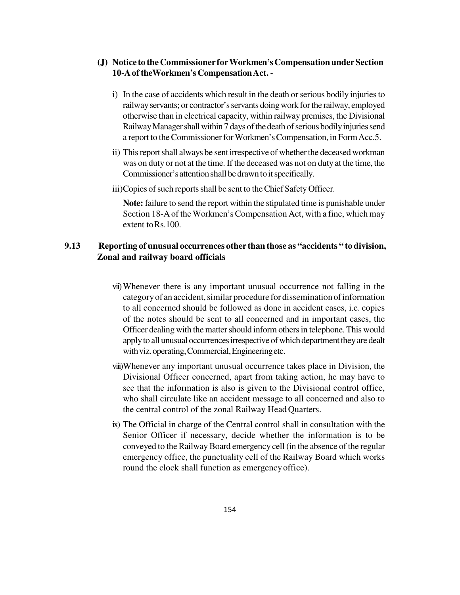### **(J) Notice to the Commissioner for Workmen's Compensation under Section 10-A of theWorkmen's Compensation Act. -**

- i) In the case of accidents which result in the death or serious bodily injuries to railway servants; or contractor's servants doing work for the railway, employed otherwise than in electrical capacity, within railway premises, the Divisional Railway Manager shall within 7 days of the death of serious bodily injuries send a report to the Commissioner for Workmen's Compensation, in Form Acc.5.
- ii) This report shall always be sent irrespective of whether the deceased workman was on duty or not at the time. If the deceased was not on duty at the time, the Commissioner's attention shall be drawn to it specifically.
- iii)Copies of such reports shall be sent to the Chief Safety Officer.

**Note:** failure to send the report within the stipulated time is punishable under Section 18-A of the Workmen's Compensation Act, with a fine, which may extent to Rs.100.

### **9.13 Reporting of unusual occurrences other than those as "accidents " to division, Zonal and railway board officials**

- vii)Whenever there is any important unusual occurrence not falling in the category of an accident, similar procedure for dissemination of information to all concerned should be followed as done in accident cases, i.e. copies of the notes should be sent to all concerned and in important cases, the Officer dealing with the matter should inform others in telephone. This would apply to all unusual occurrences irrespective of which department they are dealt with viz. operating, Commercial, Engineering etc.
- viii)Whenever any important unusual occurrence takes place in Division, the Divisional Officer concerned, apart from taking action, he may have to see that the information is also is given to the Divisional control office, who shall circulate like an accident message to all concerned and also to the central control of the zonal Railway Head Quarters.
- ix) The Official in charge of the Central control shall in consultation with the Senior Officer if necessary, decide whether the information is to be conveyed to the Railway Board emergency cell (in the absence of the regular emergency office, the punctuality cell of the Railway Board which works round the clock shall function as emergency office).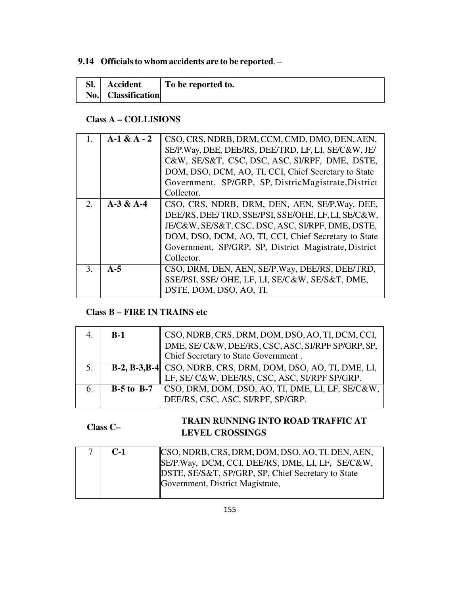## **9.14 Officials to whom accidents are to be reported**. –

| SI. | <b>Accident</b>    | To be reported to. |
|-----|--------------------|--------------------|
|     | No. Classification |                    |

## **Class A – COLLISIONS**

| 1.               | $A-1 & A - 2$ | CSO, CRS, NDRB, DRM, CCM, CMD, DMO, DEN, AEN,         |
|------------------|---------------|-------------------------------------------------------|
|                  |               | SE/P.Way, DEE, DEE/RS, DEE/TRD, LF, LI, SE/C&W, JE/   |
|                  |               | C&W, SE/S&T, CSC, DSC, ASC, SI/RPF, DME, DSTE,        |
|                  |               | DOM, DSO, DCM, AO, TI, CCI, Chief Secretary to State  |
|                  |               | Government, SP/GRP, SP, DistricMagistrate, District   |
|                  |               | Collector.                                            |
| $\overline{2}$ . | $A-3 & A-4$   | CSO, CRS, NDRB, DRM, DEN, AEN, SE/P.Way, DEE,         |
|                  |               | DEE/RS, DEE/TRD, SSE/PSI, SSE/OHE, LF, LI, SE/C&W,    |
|                  |               | JE/C&W, SE/S&T, CSC, DSC, ASC, SI/RPF, DME, DSTE,     |
|                  |               | DOM, DSO, DCM, AO, TI, CCI, Chief Secretary to State  |
|                  |               | Government, SP/GRP, SP, District Magistrate, District |
|                  |               | Collector.                                            |
| 3.               | $A-5$         | CSO, DRM, DEN, AEN, SE/P.Way, DEE/RS, DEE/TRD,        |
|                  |               | SSE/PSI, SSE/ OHE, LF, LI, SE/C&W, SE/S&T, DME,       |
|                  |               | DSTE, DOM, DSO, AO, TI.                               |
|                  |               |                                                       |

## **Class B – FIRE IN TRAINS etc**

|    | $B-1$ | CSO, NDRB, CRS, DRM, DOM, DSO, AO, TI, DCM, CCI,<br>DME, SE/C&W, DEE/RS, CSC, ASC, SI/RPF SP/GRP, SP,              |
|----|-------|--------------------------------------------------------------------------------------------------------------------|
|    |       |                                                                                                                    |
|    |       | Chief Secretary to State Government.                                                                               |
| 5. |       |                                                                                                                    |
|    |       | <b>B-2, B-3, B-4</b> CSO, NDRB, CRS, DRM, DOM, DSO, AO, TI, DME, LI, LF, SE/ C&W, DEE/RS, CSC, ASC, SI/RPF SP/GRP. |
| 6. |       | <b>B-5 to B-7</b> $\vert$ CSO, DRM, DOM, DSO, AO, TI, DME, LI, LF, SE/C&W,                                         |
|    |       | DEE/RS, CSC, ASC, SI/RPF, SP/GRP.                                                                                  |

#### **Class C– TRAIN RUNNING INTO ROAD TRAFFIC AT LEVEL CROSSINGS**

| C-1 | CSO, NDRB, CRS, DRM, DOM, DSO, AO, TI. DEN, AEN,<br>SE/P.Way, DCM, CCI, DEE/RS, DME, LI, LF, SE/C&W,<br>DSTE, SE/S&T, SP/GRP, SP, Chief Secretary to State |
|-----|------------------------------------------------------------------------------------------------------------------------------------------------------------|
|     | Government, District Magistrate,                                                                                                                           |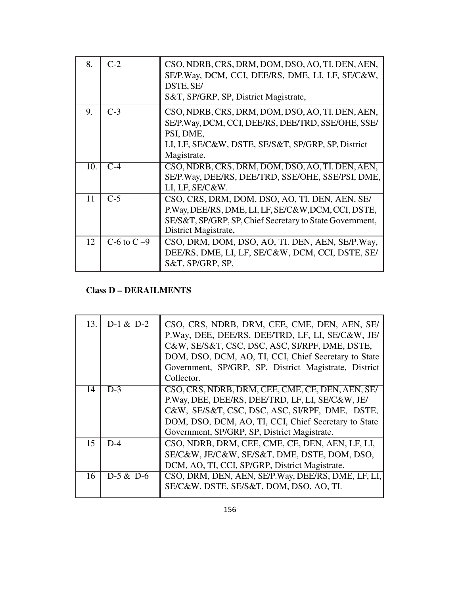| 8.  | $C-2$        | CSO, NDRB, CRS, DRM, DOM, DSO, AO, TI. DEN, AEN,<br>SE/P.Way, DCM, CCI, DEE/RS, DME, LI, LF, SE/C&W,<br>DSTE, SE/<br>S&T, SP/GRP, SP, District Magistrate,                                |
|-----|--------------|-------------------------------------------------------------------------------------------------------------------------------------------------------------------------------------------|
| 9.  | $C-3$        | CSO, NDRB, CRS, DRM, DOM, DSO, AO, TI. DEN, AEN,<br>SE/P.Way, DCM, CCI, DEE/RS, DEE/TRD, SSE/OHE, SSE/<br>PSI, DME,<br>LI, LF, SE/C&W, DSTE, SE/S&T, SP/GRP, SP, District<br>Magistrate.  |
| 10. | $C-4$        | CSO, NDRB, CRS, DRM, DOM, DSO, AO, TI. DEN, AEN,<br>SE/P.Way, DEE/RS, DEE/TRD, SSE/OHE, SSE/PSI, DME,<br>LI, LF, SE/C&W.                                                                  |
| 11  | $C-5$        | CSO, CRS, DRM, DOM, DSO, AO, TI. DEN, AEN, SE/<br>P.Way, DEE/RS, DME, LI, LF, SE/C&W, DCM, CCI, DSTE,<br>SE/S&T, SP/GRP, SP, Chief Secretary to State Government,<br>District Magistrate, |
| 12  | C-6 to $C-9$ | CSO, DRM, DOM, DSO, AO, TI. DEN, AEN, SE/P.Way,<br>DEE/RS, DME, LI, LF, SE/C&W, DCM, CCI, DSTE, SE/<br>S&T, SP/GRP, SP,                                                                   |

## **Class D – DERAILMENTS**

| 13. | $D-1 & D-2$ | CSO, CRS, NDRB, DRM, CEE, CME, DEN, AEN, SE/<br>P.Way, DEE, DEE/RS, DEE/TRD, LF, LI, SE/C&W, JE/<br>C&W, SE/S&T, CSC, DSC, ASC, SI/RPF, DME, DSTE,<br>DOM, DSO, DCM, AO, TI, CCI, Chief Secretary to State<br>Government, SP/GRP, SP, District Magistrate, District<br>Collector. |
|-----|-------------|-----------------------------------------------------------------------------------------------------------------------------------------------------------------------------------------------------------------------------------------------------------------------------------|
| 14  | $D-3$       | CSO, CRS, NDRB, DRM, CEE, CME, CE, DEN, AEN, SE/<br>P.Way, DEE, DEE/RS, DEE/TRD, LF, LI, SE/C&W, JE/<br>C&W, SE/S&T, CSC, DSC, ASC, SI/RPF, DME, DSTE,<br>DOM, DSO, DCM, AO, TI, CCI, Chief Secretary to State<br>Government, SP/GRP, SP, District Magistrate.                    |
| 15  | $D-4$       | CSO, NDRB, DRM, CEE, CME, CE, DEN, AEN, LF, LI,<br>SE/C&W, JE/C&W, SE/S&T, DME, DSTE, DOM, DSO,<br>DCM, AO, TI, CCI, SP/GRP, District Magistrate.                                                                                                                                 |
| 16  | $D-5 & D-6$ | CSO, DRM, DEN, AEN, SE/P.Way, DEE/RS, DME, LF, LI,<br>SE/C&W, DSTE, SE/S&T, DOM, DSO, AO, TI.                                                                                                                                                                                     |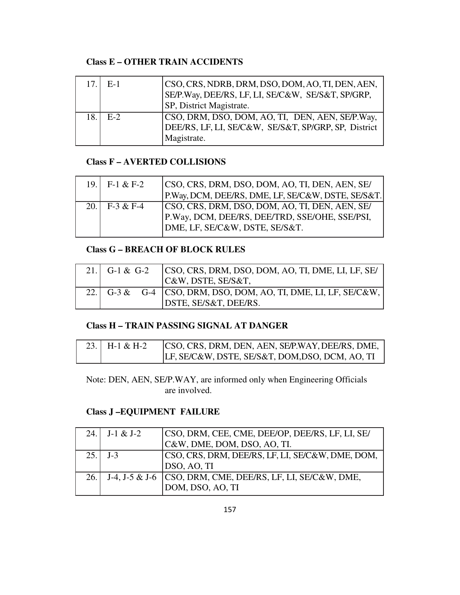## **Class E – OTHER TRAIN ACCIDENTS**

| 17.1  | $E-1$ | CSO, CRS, NDRB, DRM, DSO, DOM, AO, TI, DEN, AEN,<br>SE/P.Way, DEE/RS, LF, LI, SE/C&W, SE/S&T, SP/GRP,<br>SP, District Magistrate. |
|-------|-------|-----------------------------------------------------------------------------------------------------------------------------------|
| 18. I | $E-2$ | CSO, DRM, DSO, DOM, AO, TI, DEN, AEN, SE/P.Way,<br>DEE/RS, LF, LI, SE/C&W, SE/S&T, SP/GRP, SP, District<br>Magistrate.            |

## **Class F – AVERTED COLLISIONS**

| 19. $F-1 & F-2$ | CSO, CRS, DRM, DSO, DOM, AO, TI, DEN, AEN, SE/<br>P.Way, DCM, DEE/RS, DME, LF, SE/C&W, DSTE, SE/S&T. |
|-----------------|------------------------------------------------------------------------------------------------------|
|                 |                                                                                                      |
| 20. F-3 & F-4   | CSO, CRS, DRM, DSO, DOM, AO, TI, DEN, AEN, SE/<br>P.Way, DCM, DEE/RS, DEE/TRD, SSE/OHE, SSE/PSI,     |
|                 |                                                                                                      |
|                 | DME, LF, SE/C&W, DSTE, SE/S&T.                                                                       |

## **Class G – BREACH OF BLOCK RULES**

| 21. G-1 & G-2 | CSO, CRS, DRM, DSO, DOM, AO, TI, DME, LI, LF, SE/<br>C&W, DSTE, SE/S&T,                       |
|---------------|-----------------------------------------------------------------------------------------------|
|               | 22.   G-3 & G-4   CSO, DRM, DSO, DOM, AO, TI, DME, LI, LF, SE/C&W,  <br>DSTE, SE/S&T, DEE/RS. |

## **Class H – TRAIN PASSING SIGNAL AT DANGER**

| 23. H-1 & H-2 | CSO, CRS, DRM, DEN, AEN, SE/P.WAY, DEE/RS, DME, |
|---------------|-------------------------------------------------|
|               | LF, SE/C&W, DSTE, SE/S&T, DOM, DSO, DCM, AO, TI |

Note: DEN, AEN, SE/P.WAY, are informed only when Engineering Officials are involved.

## **Class J –EQUIPMENT FAILURE**

|       | 24. J-1 & J-2 | CSO, DRM, CEE, CME, DEE/OP, DEE/RS, LF, LI, SE/               |
|-------|---------------|---------------------------------------------------------------|
|       |               | C&W, DME, DOM, DSO, AO, TI.                                   |
|       | $25.1 J-3$    | CSO, CRS, DRM, DEE/RS, LF, LI, SE/C&W, DME, DOM,              |
|       |               | DSO, AO, TI                                                   |
| 26. I |               | J-4, J-5 & J-6 $ CSO, DRM, CME, DEE/RS, LF, LI, SE/C&W, DME,$ |
|       |               | DOM, DSO, AO, TI                                              |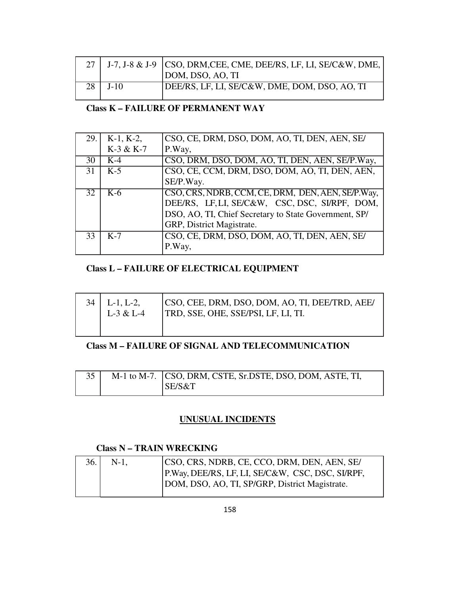|           | 27   J-7, J-8 & J-9   CSO, DRM, CEE, CME, DEE/RS, LF, LI, SE/C&W, DME, |
|-----------|------------------------------------------------------------------------|
|           | DOM, DSO, AO, TI                                                       |
| 28 J J-10 | DEE/RS, LF, LI, SE/C&W, DME, DOM, DSO, AO, TI                          |

## **Class K – FAILURE OF PERMANENT WAY**

| 29.1 | $K-1$ , $K-2$ ,   | CSO, CE, DRM, DSO, DOM, AO, TI, DEN, AEN, SE/                                                                                                                                             |
|------|-------------------|-------------------------------------------------------------------------------------------------------------------------------------------------------------------------------------------|
|      | K-3 & K-7         | P.Way,                                                                                                                                                                                    |
| 30   | $K-4$             | CSO, DRM, DSO, DOM, AO, TI, DEN, AEN, SE/P.Way,                                                                                                                                           |
| 31   | $K-5$             | CSO, CE, CCM, DRM, DSO, DOM, AO, TI, DEN, AEN,                                                                                                                                            |
|      |                   | SE/P.Way.                                                                                                                                                                                 |
| 32   | $\overline{K}$ -6 | CSO, CRS, NDRB, CCM, CE, DRM, DEN, AEN, SE/P.Way,<br>DEE/RS, LF, LI, SE/C&W, CSC, DSC, SI/RPF, DOM,<br>DSO, AO, TI, Chief Secretary to State Government, SP/<br>GRP, District Magistrate. |
| 33   | $K-7$             | CSO, CE, DRM, DSO, DOM, AO, TI, DEN, AEN, SE/<br>P.Way,                                                                                                                                   |

## **Class L – FAILURE OF ELECTRICAL EQUIPMENT**

| $L-1, L-2,$ | CSO, CEE, DRM, DSO, DOM, AO, TI, DEE/TRD, AEE/ |
|-------------|------------------------------------------------|
| $L-3 & L-4$ | TRD, SSE, OHE, SSE/PSI, LF, LI, TI.            |
|             |                                                |

### **Class M – FAILURE OF SIGNAL AND TELECOMMUNICATION**

|  | M-1 to M-7. CSO, DRM, CSTE, Sr.DSTE, DSO, DOM, ASTE, TI, |
|--|----------------------------------------------------------|
|  | SE/S&T                                                   |

## **UNUSUAL INCIDENTS**

## **Class N – TRAIN WRECKING**

| 36.1 | $N-1$ . | CSO, CRS, NDRB, CE, CCO, DRM, DEN, AEN, SE/      |
|------|---------|--------------------------------------------------|
|      |         | P.Way, DEE/RS, LF, LI, SE/C&W, CSC, DSC, SI/RPF, |
|      |         | DOM, DSO, AO, TI, SP/GRP, District Magistrate.   |
|      |         |                                                  |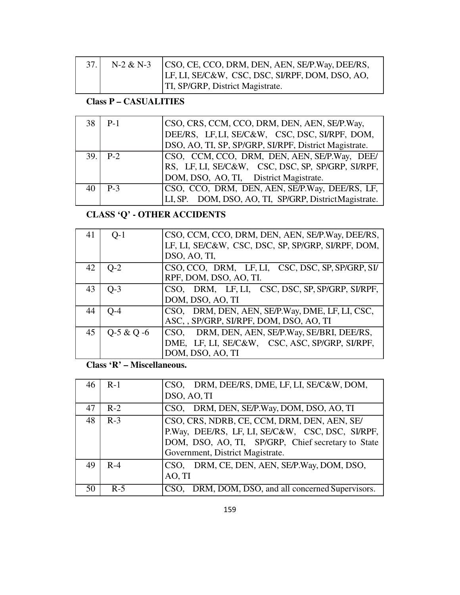|  | N-2 & N-3 CSO, CE, CCO, DRM, DEN, AEN, SE/P.Way, DEE/RS, |
|--|----------------------------------------------------------|
|  | LF, LI, SE/C&W, CSC, DSC, SI/RPF, DOM, DSO, AO,          |
|  | TI, SP/GRP, District Magistrate.                         |

# **Class P – CASUALITIES**

| 38 | $P-1$      | CSO, CRS, CCM, CCO, DRM, DEN, AEN, SE/P.Way,<br>DEE/RS, LF, LI, SE/C&W, CSC, DSC, SI/RPF, DOM,<br>DSO, AO, TI, SP, SP/GRP, SI/RPF, District Magistrate. |
|----|------------|---------------------------------------------------------------------------------------------------------------------------------------------------------|
|    | $39.1$ P-2 | CSO, CCM, CCO, DRM, DEN, AEN, SE/P.Way, DEE/<br>RS, LF, LI, SE/C&W, CSC, DSC, SP, SP/GRP, SI/RPF,<br>DOM, DSO, AO, TI, District Magistrate.             |
|    | $P-3$      | CSO, CCO, DRM, DEN, AEN, SE/P.Way, DEE/RS, LF,<br>LI, SP. DOM, DSO, AO, TI, SP/GRP, DistrictMagistrate.                                                 |

# **CLASS 'Q' - OTHER ACCIDENTS**

| 41 | $Q-1$      | CSO, CCM, CCO, DRM, DEN, AEN, SE/P.Way, DEE/RS,    |
|----|------------|----------------------------------------------------|
|    |            | LF, LI, SE/C&W, CSC, DSC, SP, SP/GRP, SI/RPF, DOM, |
|    |            | DSO, AO, TI,                                       |
| 42 | $O-2$      | CSO, CCO, DRM, LF, LI, CSC, DSC, SP, SP/GRP, SI/   |
|    |            | RPF, DOM, DSO, AO, TI.                             |
| 43 | $Q-3$      | CSO, DRM, LF, LI, CSC, DSC, SP, SP/GRP, SI/RPF,    |
|    |            | DOM, DSO, AO, TI                                   |
| 44 | $O-4$      | CSO, DRM, DEN, AEN, SE/P.Way, DME, LF, LI, CSC,    |
|    |            | ASC, , SP/GRP, SI/RPF, DOM, DSO, AO, TI            |
| 45 | Q-5 & Q -6 | DRM, DEN, AEN, SE/P.Way, SE/BRI, DEE/RS,<br>CSO.   |
|    |            | DME, LF, LI, SE/C&W, CSC, ASC, SP/GRP, SI/RPF,     |
|    |            | DOM, DSO, AO, TI                                   |

**Class 'R' – Miscellaneous.** 

| 46 | $R-1$ | CSO, DRM, DEE/RS, DME, LF, LI, SE/C&W, DOM,<br>DSO, AO, TI                                                                                                                                |
|----|-------|-------------------------------------------------------------------------------------------------------------------------------------------------------------------------------------------|
| 47 | $R-2$ | CSO, DRM, DEN, SE/P.Way, DOM, DSO, AO, TI                                                                                                                                                 |
| 48 | $R-3$ | CSO, CRS, NDRB, CE, CCM, DRM, DEN, AEN, SE/<br>P.Way, DEE/RS, LF, LI, SE/C&W, CSC, DSC, SI/RPF,<br>DOM, DSO, AO, TI, SP/GRP, Chief secretary to State<br>Government, District Magistrate. |
| 49 | $R-4$ | CSO, DRM, CE, DEN, AEN, SE/P.Way, DOM, DSO,<br>AO, TI                                                                                                                                     |
| 50 | $R-5$ | CSO, DRM, DOM, DSO, and all concerned Supervisors.                                                                                                                                        |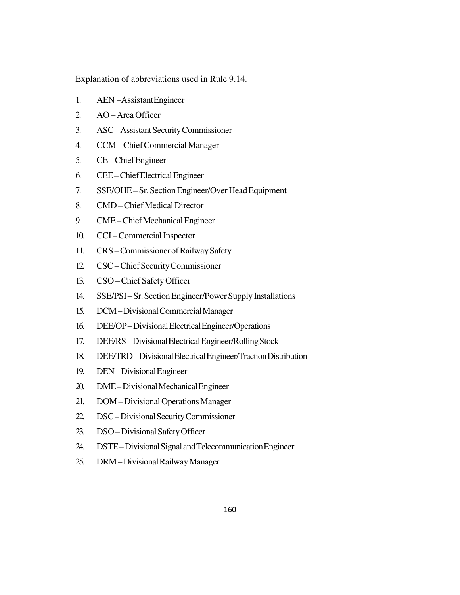Explanation of abbreviations used in Rule 9.14.

- 1. AEN –Assistant Engineer
- 2. AO Area Officer
- 3. ASC Assistant Security Commissioner
- 4. CCM Chief Commercial Manager
- 5. CE Chief Engineer
- 6. CEE Chief Electrical Engineer
- 7. SSE/OHE Sr. Section Engineer/Over Head Equipment
- 8. CMD Chief Medical Director
- 9. CME Chief Mechanical Engineer
- 10. CCI Commercial Inspector
- 11. CRS Commissioner of Railway Safety
- 12. CSC Chief Security Commissioner
- 13. CSO Chief Safety Officer
- 14. SSE/PSI Sr. Section Engineer/Power Supply Installations
- 15. DCM Divisional Commercial Manager
- 16. DEE/OP Divisional Electrical Engineer/Operations
- 17. DEE/RS Divisional Electrical Engineer/Rolling Stock
- 18. DEE/TRD Divisional Electrical Engineer/Traction Distribution
- 19. DEN Divisional Engineer
- 20. DME Divisional Mechanical Engineer
- 21. DOM Divisional Operations Manager
- 22. DSC Divisional Security Commissioner
- 23. DSO Divisional Safety Officer
- 24. DSTE Divisional Signal and Telecommunication Engineer
- 25. DRM Divisional Railway Manager